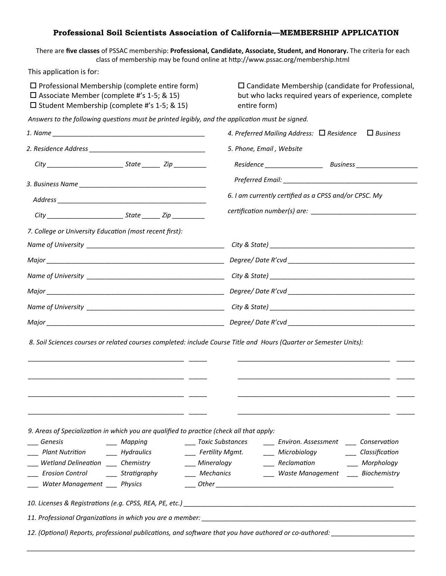## **Professional Soil Scientists Association of California—MEMBERSHIP APPLICATION**

There are **five classes** of PSSAC membership: **Professional, Candidate, Associate, Student, and Honorary.** The criteria for each class of membership may be found online at http://www.pssac.org/membership.html

This application is for:

| $\square$ Associate Member (complete #'s 1-5; & 15)<br>$\square$ Student Membership (complete #'s 1-5; & 15)                                                                                                                                                                       | $\square$ Professional Membership (complete entire form)<br>$\square$ Candidate Membership (candidate for Professional,<br>but who lacks required years of experience, complete<br>entire form)                                                         |
|------------------------------------------------------------------------------------------------------------------------------------------------------------------------------------------------------------------------------------------------------------------------------------|---------------------------------------------------------------------------------------------------------------------------------------------------------------------------------------------------------------------------------------------------------|
| Answers to the following questions must be printed legibly, and the application must be signed.                                                                                                                                                                                    |                                                                                                                                                                                                                                                         |
|                                                                                                                                                                                                                                                                                    | 4. Preferred Mailing Address: $\Box$ Residence<br>$\Box$ Business                                                                                                                                                                                       |
|                                                                                                                                                                                                                                                                                    | 5. Phone, Email, Website                                                                                                                                                                                                                                |
|                                                                                                                                                                                                                                                                                    |                                                                                                                                                                                                                                                         |
|                                                                                                                                                                                                                                                                                    |                                                                                                                                                                                                                                                         |
|                                                                                                                                                                                                                                                                                    | 6. I am currently certified as a CPSS and/or CPSC. My                                                                                                                                                                                                   |
|                                                                                                                                                                                                                                                                                    |                                                                                                                                                                                                                                                         |
| 7. College or University Education (most recent first):                                                                                                                                                                                                                            |                                                                                                                                                                                                                                                         |
|                                                                                                                                                                                                                                                                                    |                                                                                                                                                                                                                                                         |
|                                                                                                                                                                                                                                                                                    |                                                                                                                                                                                                                                                         |
|                                                                                                                                                                                                                                                                                    |                                                                                                                                                                                                                                                         |
|                                                                                                                                                                                                                                                                                    |                                                                                                                                                                                                                                                         |
|                                                                                                                                                                                                                                                                                    |                                                                                                                                                                                                                                                         |
|                                                                                                                                                                                                                                                                                    |                                                                                                                                                                                                                                                         |
|                                                                                                                                                                                                                                                                                    |                                                                                                                                                                                                                                                         |
|                                                                                                                                                                                                                                                                                    | 8. Soil Sciences courses or related courses completed: include Course Title and Hours (Quarter or Semester Units):                                                                                                                                      |
| 9. Areas of Specialization in which you are qualified to practice (check all that apply:<br>Genesis<br>____ Mapping<br>Hydraulics<br><b>Plant Nutrition</b><br>Wetland Delineation ____ Chemistry<br><b>Erosion Control</b><br>$\_\_$ Stratigraphy<br>Water Management ___ Physics | ____ Toxic Substances<br>____ Environ. Assessment _____ Conservation<br>____ Classification<br>____ Fertility Mgmt.<br>___ Microbiology<br>___ Mineralogy<br>___ Reclamation<br>Morphology<br><b>Mechanics</b><br>___ Waste Management ___ Biochemistry |
|                                                                                                                                                                                                                                                                                    |                                                                                                                                                                                                                                                         |
|                                                                                                                                                                                                                                                                                    |                                                                                                                                                                                                                                                         |